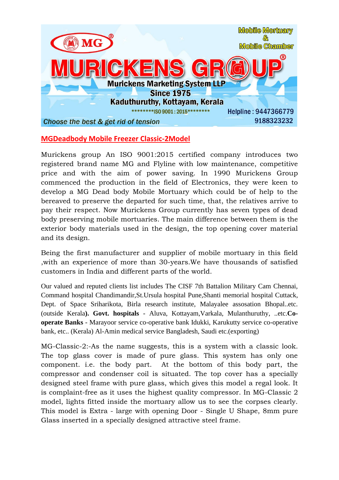

## **MGDeadbody Mobile Freezer Classic-2Model**

Murickens group An ISO 9001:2015 certified company introduces two registered brand name MG and Flyline with low maintenance, competitive price and with the aim of power saving. In 1990 Murickens Group commenced the production in the field of Electronics, they were keen to develop a MG Dead body Mobile Mortuary which could be of help to the bereaved to preserve the departed for such time, that, the relatives arrive to pay their respect. Now Murickens Group currently has seven types of dead body preserving mobile mortuaries. The main difference between them is the exterior body materials used in the design, the top opening cover material and its design.

Being the first manufacturer and supplier of mobile mortuary in this field ,with an experience of more than 30-years.We have thousands of satisfied customers in India and different parts of the world.

Our valued and reputed clients list includes The CISF 7th Battalion Military Cam Chennai, Command hospital Chandimandir,St.Ursula hospital Pune,Shanti memorial hospital Cuttack, Dept. of Space Sriharikota, Birla research institute, Malayalee assosation Bhopal..etc. (outside Kerala**). Govt. hospitals** - Aluva, Kottayam,Varkala, Mulanthuruthy, ..etc.**Cooperate Banks** - Marayoor service co-operative bank Idukki, Karukutty service co-operative bank, etc.. (Kerala) Al-Amin medical service Bangladesh, Saudi etc.(exporting)

MG-Classic-2:-As the name suggests, this is a system with a classic look. The top glass cover is made of pure glass. This system has only one component. i.e. the body part. At the bottom of this body part, the compressor and condenser coil is situated. The top cover has a specially designed steel frame with pure glass, which gives this model a regal look. It is complaint-free as it uses the highest quality compressor. In MG-Classic 2 model, lights fitted inside the mortuary allow us to see the corpses clearly. This model is Extra - large with opening Door - Single U Shape, 8mm pure Glass inserted in a specially designed attractive steel frame.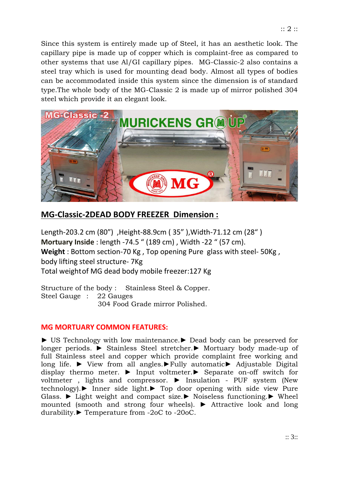Since this system is entirely made up of Steel, it has an aesthetic look. The capillary pipe is made up of copper which is complaint-free as compared to other systems that use Al/GI capillary pipes. MG-Classic-2 also contains a steel tray which is used for mounting dead body. Almost all types of bodies can be accommodated inside this system since the dimension is of standard type.The whole body of the MG-Classic 2 is made up of mirror polished 304 steel which provide it an elegant look.



## **MG-Classic-2DEAD BODY FREEZER Dimension :**

Length-203.2 cm (80") ,Height-88.9cm ( 35" ),Width-71.12 cm (28" ) **Mortuary Inside** : length -74.5 " (189 cm) , Width -22 " (57 cm). **Weight** : Bottom section-70 Kg , Top opening Pure glass with steel- 50Kg , body lifting steel structure- 7Kg Total weightof MG dead body mobile freezer:127 Kg

Structure of the body : Stainless Steel & Copper. Steel Gauge : 22 Gauges 304 Food Grade mirror Polished.

## **MG MORTUARY COMMON FEATURES:**

► US Technology with low maintenance.► Dead body can be preserved for longer periods. ► Stainless Steel stretcher.► Mortuary body made-up of full Stainless steel and copper which provide complaint free working and long life. ► View from all angles.►Fully automatic► Adjustable Digital display thermo meter. ► Input voltmeter.► Separate on-off switch for voltmeter , lights and compressor. ► Insulation - PUF system (New technology).► Inner side light.► Top door opening with side view Pure Glass. ► Light weight and compact size.► Noiseless functioning.► Wheel mounted (smooth and strong four wheels). ► Attractive look and long durability.► Temperature from -2oC to -20oC.